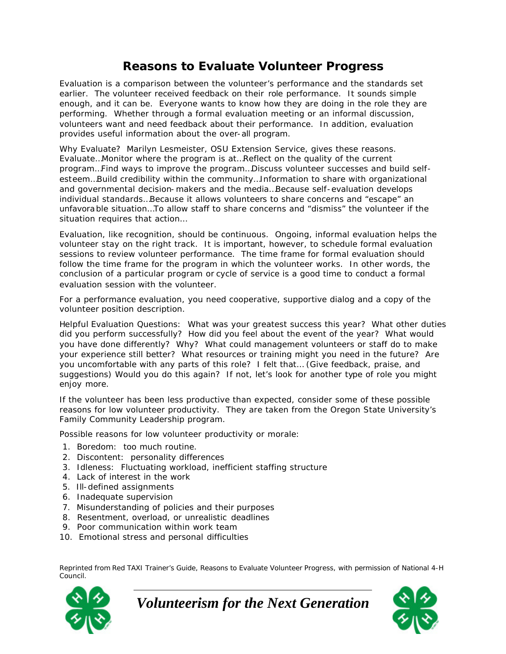## **Reasons to Evaluate Volunteer Progress**

Evaluation is a comparison between the volunteer's performance and the standards set earlier. The volunteer received feedback on their role performance. It sounds simple enough, and it can be. Everyone wants to know how they are doing in the role they are performing. Whether through a formal evaluation meeting or an informal discussion, volunteers want and need feedback about their performance. In addition, evaluation provides useful information about the over-all program.

Why Evaluate? Marilyn Lesmeister, OSU Extension Service, gives these reasons. Evaluate…Monitor where the program is at…Reflect on the quality of the current program…Find ways to improve the program…Discuss volunteer successes and build selfesteem…Build credibility within the community…Information to share with organizational and governmental decision-makers and the media…Because self-evaluation develops individual standards…Because it allows volunteers to share concerns and "escape" an unfavorable situation…To allow staff to share concerns and "dismiss" the volunteer if the situation requires that action…

Evaluation, like recognition, should be continuous. Ongoing, informal evaluation helps the volunteer stay on the right track. It is important, however, to schedule formal evaluation sessions to review volunteer performance. The time frame for formal evaluation should follow the time frame for the program in which the volunteer works. In other words, the conclusion of a particular program or cycle of service is a good time to conduct a formal evaluation session with the volunteer.

For a performance evaluation, you need cooperative, supportive dialog and a copy of the volunteer position description.

Helpful Evaluation Questions: What was your greatest success this year? What other duties did you perform successfully? How did you feel about the event of the year? What would you have done differently? Why? What could management volunteers or staff do to make your experience still better? What resources or training might you need in the future? Are you uncomfortable with any parts of this role? I felt that… (Give feedback, praise, and suggestions) Would you do this again? If not, let's look for another type of role you might enjoy more.

If the volunteer has been less productive than expected, consider some of these possible reasons for low volunteer productivity. They are taken from the Oregon State University's Family Community Leadership program.

Possible reasons for low volunteer productivity or morale:

- 1. Boredom: too much routine.
- 2. Discontent: personality differences
- 3. Idleness: Fluctuating workload, inefficient staffing structure
- 4. Lack of interest in the work
- 5. Ill-defined assignments
- 6. Inadequate supervision
- 7. Misunderstanding of policies and their purposes
- 8. Resentment, overload, or unrealistic deadlines
- 9. Poor communication within work team
- 10. Emotional stress and personal difficulties

Reprinted from *Red TAXI Trainer's Guide, Reasons to Evaluate Volunteer Progress,* with permission of National 4-H Council.



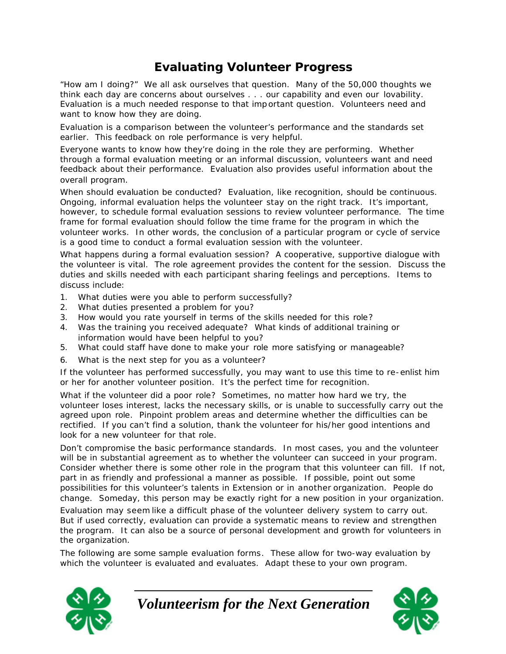# **Evaluating Volunteer Progress**

"How am I doing?" We all ask ourselves that question. Many of the 50,000 thoughts we think each day are concerns about ourselves . . . our capability and even our lovability. Evaluation is a much needed response to that important question. Volunteers need and want to know how they are doing.

Evaluation is a comparison between the volunteer's performance and the standards set earlier. This feedback on role performance is very helpful.

Everyone wants to know how they're doing in the role they are performing. Whether through a formal evaluation meeting or an informal discussion, volunteers want and need feedback about their performance. Evaluation also provides useful information about the overall program.

When should evaluation be conducted? Evaluation, like recognition, should be continuous. Ongoing, informal evaluation helps the volunteer stay on the right track. It's important, however, to schedule formal evaluation sessions to review volunteer performance. The time frame for formal evaluation should follow the time frame for the program in which the volunteer works. In other words, the conclusion of a particular program or cycle of service is a good time to conduct a formal evaluation session with the volunteer.

What happens during a formal evaluation session? A cooperative, supportive dialogue with the volunteer is vital. The role agreement provides the content for the session. Discuss the duties and skills needed with each participant sharing feelings and perceptions. Items to discuss include:

- 1. What duties were you able to perform successfully?
- 2. What duties presented a problem for you?
- 3. How would you rate yourself in terms of the skills needed for this role?
- 4. Was the training you received adequate? What kinds of additional training or information would have been helpful to you?
- 5. What could staff have done to make your role more satisfying or manageable?
- 6. What is the next step for you as a volunteer?

If the volunteer has performed successfully, you may want to use this time to re-enlist him or her for another volunteer position. It's the perfect time for recognition.

What if the volunteer did a poor role? Sometimes, no matter how hard we try, the volunteer loses interest, lacks the necessary skills, or is unable to successfully carry out the agreed upon role. Pinpoint problem areas and determine whether the difficulties can be rectified. If you can't find a solution, thank the volunteer for his/her good intentions and look for a new volunteer for that role.

Don't compromise the basic performance standards. In most cases, you and the volunteer will be in substantial agreement as to whether the volunteer can succeed in your program. Consider whether there is some other role in the program that this volunteer can fill. If not, part in as friendly and professional a manner as possible. If possible, point out some possibilities for this volunteer's talents in Extension or in another organization. People do change. Someday, this person may be exactly right for a new position in your organization.

Evaluation may seem like a difficult phase of the volunteer delivery system to carry out. But if used correctly, evaluation can provide a systematic means to review and strengthen the program. It can also be a source of personal development and growth for volunteers in the organization.

The following are some sample evaluation forms. These allow for two-way evaluation by which the volunteer is evaluated and evaluates. Adapt these to your own program.



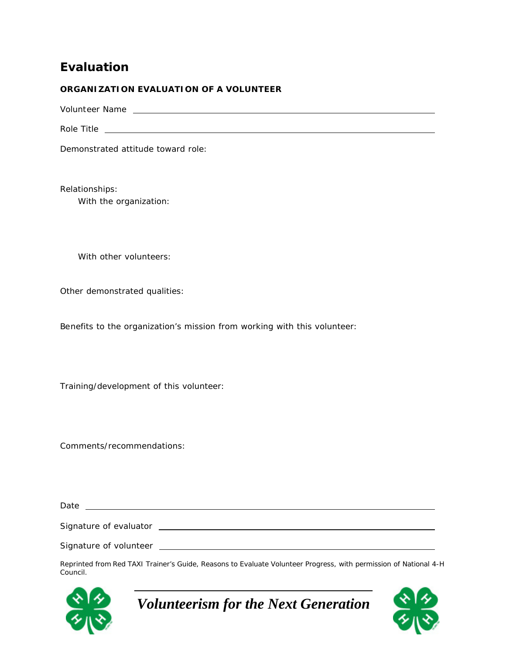## **Evaluation**

#### **ORGANIZATION EVALUATION OF A VOLUNTEER**

Volunteer Name

Role Title **Example 2018 Role** Title **Role** Title **Role** Title **Role** Title **Role** Title

Demonstrated attitude toward role:

Relationships: With the organization:

With other volunteers:

Other demonstrated qualities:

Benefits to the organization's mission from working with this volunteer:

Training/development of this volunteer:

Comments/recommendations:

Date

Signature of evaluator

Signature of volunteer

Reprinted from *Red TAXI Trainer's Guide, Reasons to Evaluate Volunteer Progress,* with permission of National 4-H Council.



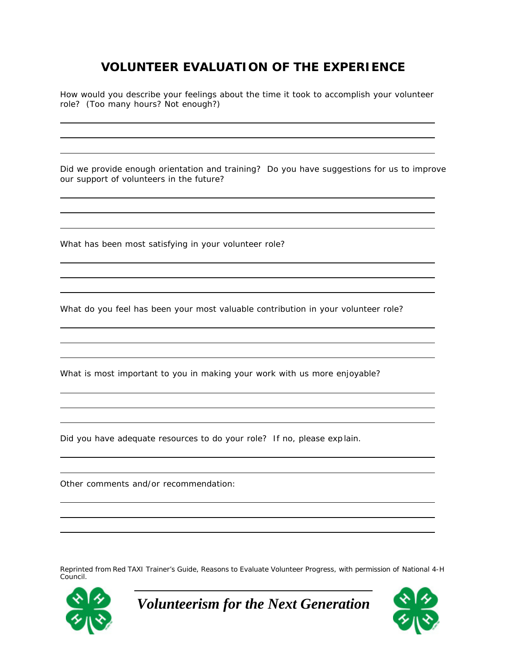# **VOLUNTEER EVALUATION OF THE EXPERIENCE**

How would you describe your feelings about the time it took to accomplish your volunteer role? (Too many hours? Not enough?)

Did we provide enough orientation and training? Do you have suggestions for us to improve our support of volunteers in the future?

What has been most satisfying in your volunteer role?

What do you feel has been your most valuable contribution in your volunteer role?

What is most important to you in making your work with us more enjoyable?

Did you have adequate resources to do your role? If no, please exp lain.

Other comments and/or recommendation:

Reprinted from *Red TAXI Trainer's Guide, Reasons to Evaluate Volunteer Progress,* with permission of National 4-H Council.